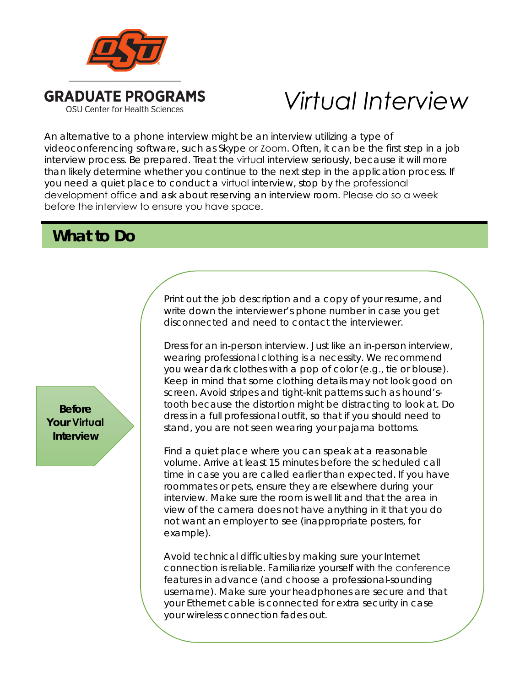

## *Virtual Interview*

An alternative to a phone interview might be an interview utilizing a type of videoconferencing software, such as Skype or Zoom. Often, it can be the first step in a job interview process. Be prepared. Treat the virtual interview seriously, because it will more than likely determine whether you continue to the next step in the application process. If you need a quiet place to conduct a virtual interview, stop by the professional development office and ask about reserving an interview room. Please do so a week before the interview to ensure you have space.

## **What to Do**

**Before Your Virtual Interview** 

Print out the job description and a copy of your resume, and write down the interviewer's phone number in case you get disconnected and need to contact the interviewer.

Dress for an in-person interview. Just like an in-person interview, wearing professional clothing is a necessity. We recommend you wear dark clothes with a pop of color (e.g., tie or blouse). Keep in mind that some clothing details may not look good on screen. Avoid stripes and tight-knit patterns such as hound'stooth because the distortion might be distracting to look at. Do dress in a full professional outfit, so that if you should need to stand, you are not seen wearing your pajama bottoms.

Find a quiet place where you can speak at a reasonable volume. Arrive at least 15 minutes before the scheduled call time in case you are called earlier than expected. If you have roommates or pets, ensure they are elsewhere during your interview. Make sure the room is well lit and that the area in view of the camera does not have anything in it that you do not want an employer to see (inappropriate posters, for example).

Avoid technical difficulties by making sure your Internet connection is reliable. Familiarize yourself with the conference features in advance (and choose a professional-sounding username). Make sure your headphones are secure and that your Ethernet cable is connected for extra security in case your wireless connection fades out.